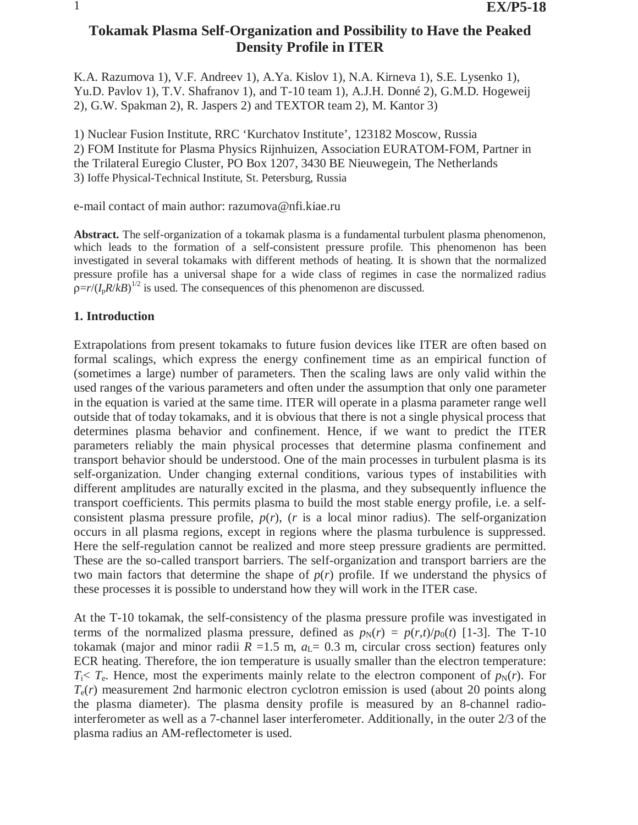# **Tokamak Plasma Self-Organization and Possibility to Have the Peaked Density Profile in ITER**

K.A. Razumova 1), V.F. Andreev 1), A.Ya. Kislov 1), N.A. Kirneva 1), S.E. Lysenko 1), Yu.D. Pavlov 1), T.V. Shafranov 1), and T-10 team 1), A.J.H. Donné 2), G.M.D. Hogeweij 2), G.W. Spakman 2), R. Jaspers 2) and TEXTOR team 2), M. Kantor 3)

1) Nuclear Fusion Institute, RRC 'Kurchatov Institute', 123182 Moscow, Russia 2) FOM Institute for Plasma Physics Rijnhuizen, Association EURATOM-FOM, Partner in the Trilateral Euregio Cluster, PO Box 1207, 3430 BE Nieuwegein, The Netherlands 3) Ioffe Physical-Technical Institute, St. Petersburg, Russia

e-mail contact of main author: razumova@nfi.kiae.ru

**Abstract.** The self-organization of a tokamak plasma is a fundamental turbulent plasma phenomenon, which leads to the formation of a self-consistent pressure profile. This phenomenon has been investigated in several tokamaks with different methods of heating. It is shown that the normalized pressure profile has a universal shape for a wide class of regimes in case the normalized radius  $\rho = r/(I_p R/kB)^{1/2}$  is used. The consequences of this phenomenon are discussed.

## **1. Introduction**

Extrapolations from present tokamaks to future fusion devices like ITER are often based on formal scalings, which express the energy confinement time as an empirical function of (sometimes a large) number of parameters. Then the scaling laws are only valid within the used ranges of the various parameters and often under the assumption that only one parameter in the equation is varied at the same time. ITER will operate in a plasma parameter range well outside that of today tokamaks, and it is obvious that there is not a single physical process that determines plasma behavior and confinement. Hence, if we want to predict the ITER parameters reliably the main physical processes that determine plasma confinement and transport behavior should be understood. One of the main processes in turbulent plasma is its self-organization. Under changing external conditions, various types of instabilities with different amplitudes are naturally excited in the plasma, and they subsequently influence the transport coefficients. This permits plasma to build the most stable energy profile, i.e. a selfconsistent plasma pressure profile,  $p(r)$ ,  $(r$  is a local minor radius). The self-organization occurs in all plasma regions, except in regions where the plasma turbulence is suppressed. Here the self-regulation cannot be realized and more steep pressure gradients are permitted. These are the so-called transport barriers. The self-organization and transport barriers are the two main factors that determine the shape of  $p(r)$  profile. If we understand the physics of these processes it is possible to understand how they will work in the ITER case.

At the T-10 tokamak, the self-consistency of the plasma pressure profile was investigated in terms of the normalized plasma pressure, defined as  $p_N(r) = p(r,t)/p_0(t)$  [1-3]. The T-10 tokamak (major and minor radii  $R = 1.5$  m,  $a<sub>L</sub> = 0.3$  m, circular cross section) features only ECR heating. Therefore, the ion temperature is usually smaller than the electron temperature:  $T_i < T_e$ . Hence, most the experiments mainly relate to the electron component of  $p_N(r)$ . For *T*e(*r*) measurement 2nd harmonic electron cyclotron emission is used (about 20 points along the plasma diameter). The plasma density profile is measured by an 8-channel radiointerferometer as well as a 7-channel laser interferometer. Additionally, in the outer 2/3 of the plasma radius an AM-reflectometer is used.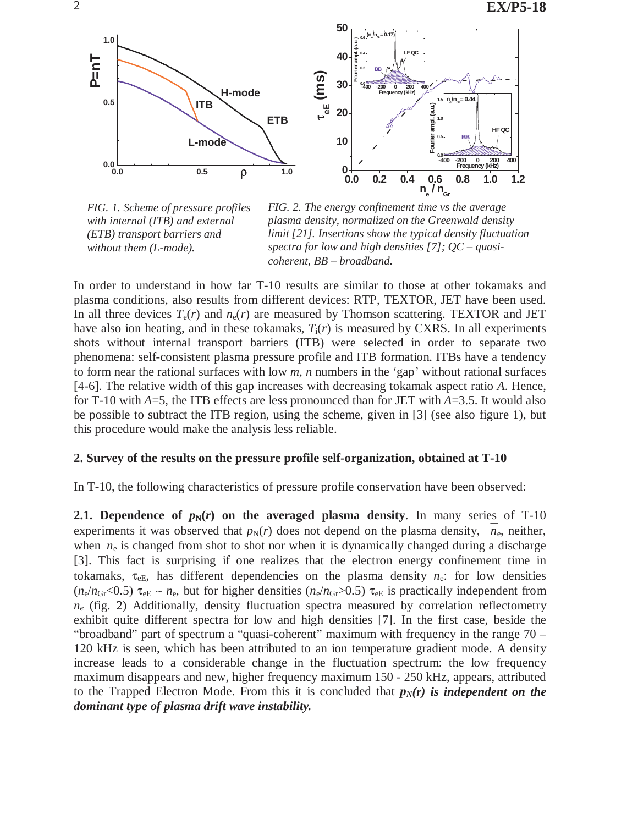

*FIG. 1. Scheme of pressure profiles with internal (ITB) and external (ETB) transport barriers and without them (L-mode).* 

*FIG. 2. The energy confinement time vs the average plasma density, normalized on the Greenwald density limit [21]. Insertions show the typical density fluctuation spectra for low and high densities [7]; QC – quasicoherent, BB – broadband.* 

In order to understand in how far T-10 results are similar to those at other tokamaks and plasma conditions, also results from different devices: RTP, TEXTOR, JET have been used. In all three devices  $T_e(r)$  and  $n_e(r)$  are measured by Thomson scattering. TEXTOR and JET have also ion heating, and in these tokamaks,  $T_i(r)$  is measured by CXRS. In all experiments shots without internal transport barriers (ITB) were selected in order to separate two phenomena: self-consistent plasma pressure profile and ITB formation. ITBs have a tendency to form near the rational surfaces with low *m, n* numbers in the 'gap' without rational surfaces [4-6]. The relative width of this gap increases with decreasing tokamak aspect ratio *A*. Hence, for T-10 with *A*=5, the ITB effects are less pronounced than for JET with *A*=3.5. It would also be possible to subtract the ITB region, using the scheme, given in [3] (see also figure 1), but this procedure would make the analysis less reliable.

#### **2. Survey of the results on the pressure profile self-organization, obtained at T-10**

In T-10, the following characteristics of pressure profile conservation have been observed:

**2.1. Dependence of**  $p_N(r)$  **on the averaged plasma density.** In many series of T-10 experiments it was observed that  $p_N(r)$  does not depend on the plasma density,  $n_e$ , neither, when  $n_e$  is changed from shot to shot nor when it is dynamically changed during a discharge [3]. This fact is surprising if one realizes that the electron energy confinement time in tokamaks,  $\tau_{eE}$ , has different dependencies on the plasma density  $n_e$ : for low densities ( $n_e/n_{\text{Gr}}$ <0.5)  $\tau_{\text{eE}} \sim n_{\text{e}}$ , but for higher densities ( $n_e/n_{\text{Gr}}$ >0.5)  $\tau_{\text{eE}}$  is practically independent from  $n_e$  (fig. 2) Additionally, density fluctuation spectra measured by correlation reflectometry exhibit quite different spectra for low and high densities [7]. In the first case, beside the "broadband" part of spectrum a "quasi-coherent" maximum with frequency in the range 70 – 120 kHz is seen, which has been attributed to an ion temperature gradient mode. A density increase leads to a considerable change in the fluctuation spectrum: the low frequency maximum disappears and new, higher frequency maximum 150 - 250 kHz, appears, attributed to the Trapped Electron Mode. From this it is concluded that  $p_N(r)$  is independent on the *dominant type of plasma drift wave instability.*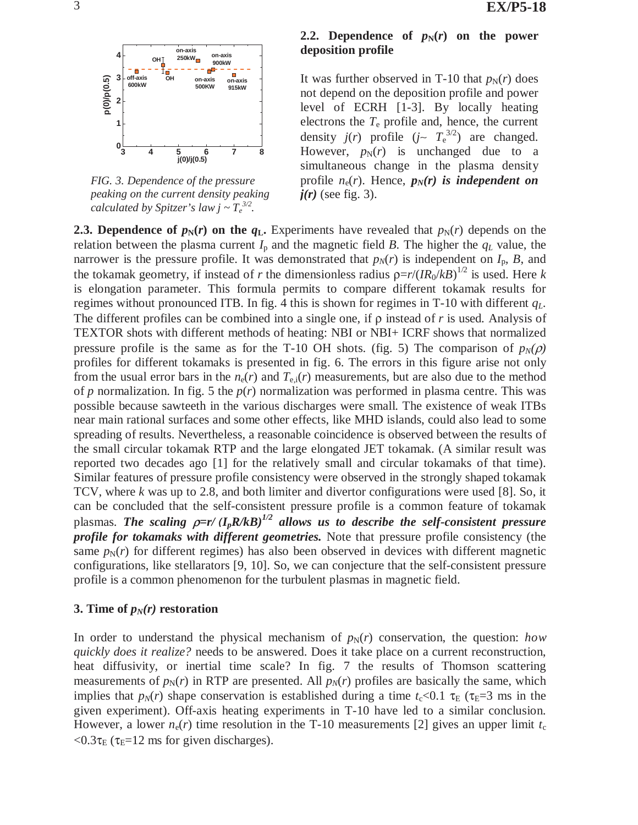

*FIG. 3. Dependence of the pressure peaking on the current density peaking calculated by Spitzer's law*  $j \sim T_e^{3/2}$ *.* 

## **2.2. Dependence of**  $p_N(r)$  **on the power deposition profile**

It was further observed in T-10 that  $p_N(r)$  does not depend on the deposition profile and power level of ECRH [1-3]. By locally heating electrons the  $T_e$  profile and, hence, the current density *j*(*r*) profile (*j*∼  $T_e^{3/2}$ ) are changed. However,  $p_N(r)$  is unchanged due to a simultaneous change in the plasma density profile  $n_e(r)$ . Hence,  $p_N(r)$  is independent on  $j(r)$  (see fig. 3).

**2.3. Dependence of**  $p_N(r)$  **on the**  $q_L$ **.** Experiments have revealed that  $p_N(r)$  depends on the relation between the plasma current  $I_p$  and the magnetic field *B*. The higher the  $q_L$  value, the narrower is the pressure profile. It was demonstrated that  $p_N(r)$  is independent on  $I_p$ ,  $B$ , and the tokamak geometry, if instead of *r* the dimensionless radius ρ=*r*/(*IR*0/*kB*) 1/2 is used. Here *k* is elongation parameter. This formula permits to compare different tokamak results for regimes without pronounced ITB. In fig. 4 this is shown for regimes in T-10 with different *qL*. The different profiles can be combined into a single one, if ρ instead of *r* is used*.* Analysis of TEXTOR shots with different methods of heating: NBI or NBI+ ICRF shows that normalized pressure profile is the same as for the T-10 OH shots. (fig. 5) The comparison of  $p_N(\rho)$ profiles for different tokamaks is presented in fig. 6. The errors in this figure arise not only from the usual error bars in the  $n_e(r)$  and  $T_{e,i}(r)$  measurements, but are also due to the method of  $p$  normalization. In fig. 5 the  $p(r)$  normalization was performed in plasma centre. This was possible because sawteeth in the various discharges were small. The existence of weak ITBs near main rational surfaces and some other effects, like MHD islands, could also lead to some spreading of results. Nevertheless, a reasonable coincidence is observed between the results of the small circular tokamak RTP and the large elongated JET tokamak. (A similar result was reported two decades ago [1] for the relatively small and circular tokamaks of that time). Similar features of pressure profile consistency were observed in the strongly shaped tokamak TCV, where *k* was up to 2.8, and both limiter and divertor configurations were used [8]. So, it can be concluded that the self-consistent pressure profile is a common feature of tokamak plasmas. The scaling  $\rho=r/(I_pR/kB)^{1/2}$  allows us to describe the self-consistent pressure *profile for tokamaks with different geometries.* Note that pressure profile consistency (the same  $p_N(r)$  for different regimes) has also been observed in devices with different magnetic configurations, like stellarators [9, 10]. So, we can conjecture that the self-consistent pressure profile is a common phenomenon for the turbulent plasmas in magnetic field.

#### **3. Time of**  $p_N(r)$  **restoration**

In order to understand the physical mechanism of  $p_N(r)$  conservation, the question: *how quickly does it realize?* needs to be answered. Does it take place on a current reconstruction, heat diffusivity, or inertial time scale? In fig. 7 the results of Thomson scattering measurements of  $p_N(r)$  in RTP are presented. All  $p_N(r)$  profiles are basically the same, which implies that  $p_N(r)$  shape conservation is established during a time  $t_c < 0.1$   $\tau_E$  ( $\tau_E = 3$  ms in the given experiment). Off-axis heating experiments in T-10 have led to a similar conclusion. However, a lower  $n_e(r)$  time resolution in the T-10 measurements [2] gives an upper limit  $t_c$  $< 0.3\tau_{\text{E}}$  ( $\tau_{\text{E}} = 12$  ms for given discharges).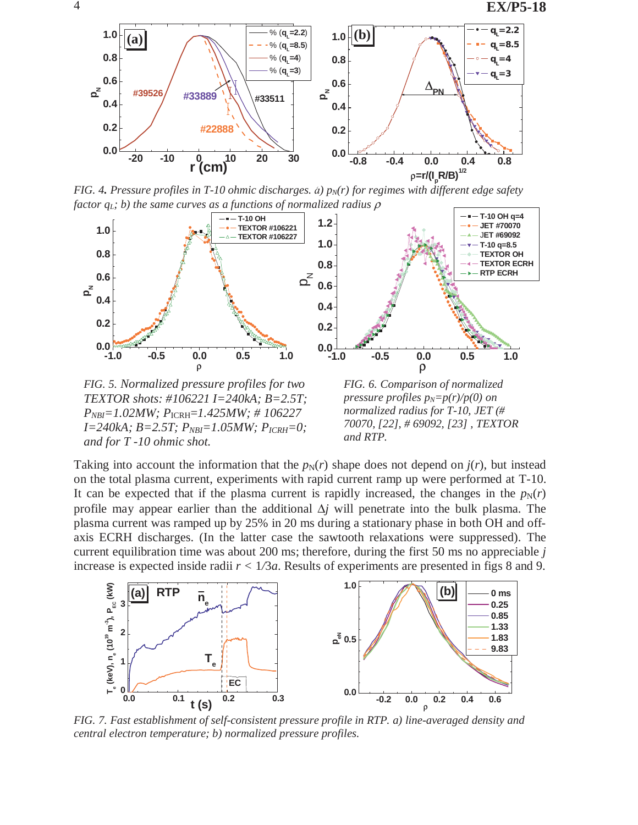

*FIG. 4. Pressure profiles in T-10 ohmic discharges.*  $a$ *)*  $p_N(r)$  *for regimes with different edge safety factor qL; b) the same curves as a functions of normalized radius* ρ



*FIG. 5. Normalized pressure profiles for two TEXTOR shots: #106221 I=240kA; B=2.5T; PNBI=1.02MW; P*ICRH=*1.425MW; # 106227 I=240kA; B=2.5T; PNBI=1.05MW; PICRH=0; and for T -10 ohmic shot.*

*FIG. 6. Comparison of normalized pressure profiles*  $p_N=p(r)/p(0)$  *on normalized radius for T-10, JET (# 70070, [22], # 69092, [23] , TEXTOR and RTP.*

Taking into account the information that the  $p_N(r)$  shape does not depend on  $j(r)$ , but instead on the total plasma current, experiments with rapid current ramp up were performed at T-10. It can be expected that if the plasma current is rapidly increased, the changes in the  $p_N(r)$ profile may appear earlier than the additional ∆*j* will penetrate into the bulk plasma. The plasma current was ramped up by 25% in 20 ms during a stationary phase in both OH and offaxis ECRH discharges. (In the latter case the sawtooth relaxations were suppressed). The current equilibration time was about 200 ms; therefore, during the first 50 ms no appreciable *j*  increase is expected inside radii *r <* 1*/*3*a*. Results of experiments are presented in figs 8 and 9.



*FIG. 7. Fast establishment of self-consistent pressure profile in RTP. a) line-averaged density and central electron temperature; b) normalized pressure profiles.*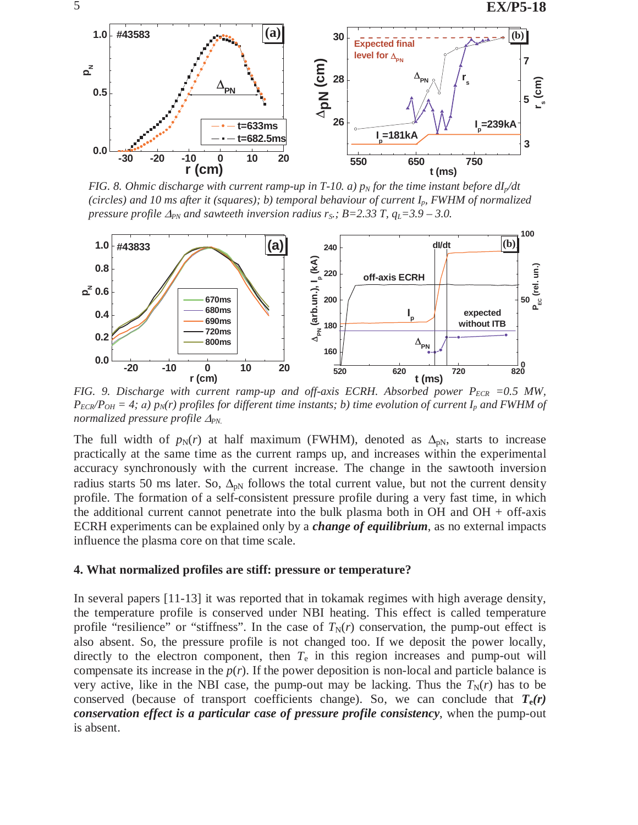

*FIG. 8. Ohmic discharge with current ramp-up in T-10. a)*  $p<sub>N</sub>$  *for the time instant before*  $dI<sub>r</sub>/dt$ *(circles) and 10 ms after it (squares); b) temporal behaviour of current Ip, FWHM of normalized pressure profile*  $\Delta_{PN}$  *and sawteeth inversion radius r<sub>S</sub>.; B=2.33 T, q<sub>L</sub>=3.9 – 3.0.* 



*FIG.* 9. Discharge with current ramp-up and off-axis ECRH. Absorbed power  $P_{ECR} = 0.5$  MW,  $P_{ECR}/P_{OH} = 4$ ; *a*)  $p_N(r)$  profiles for different time instants; *b*) time evolution of current  $I_p$  and FWHM of *normalized pressure profile* <sup>∆</sup>*PN.*

The full width of  $p_N(r)$  at half maximum (FWHM), denoted as  $\Delta_{pN}$ , starts to increase practically at the same time as the current ramps up, and increases within the experimental accuracy synchronously with the current increase. The change in the sawtooth inversion radius starts 50 ms later. So,  $\Delta_{pN}$  follows the total current value, but not the current density profile. The formation of a self-consistent pressure profile during a very fast time, in which the additional current cannot penetrate into the bulk plasma both in OH and OH + off-axis ECRH experiments can be explained only by a *change of equilibrium*, as no external impacts influence the plasma core on that time scale.

#### **4. What normalized profiles are stiff: pressure or temperature?**

In several papers [11-13] it was reported that in tokamak regimes with high average density, the temperature profile is conserved under NBI heating. This effect is called temperature profile "resilience" or "stiffness". In the case of  $T_N(r)$  conservation, the pump-out effect is also absent. So, the pressure profile is not changed too. If we deposit the power locally, directly to the electron component, then  $T<sub>e</sub>$  in this region increases and pump-out will compensate its increase in the  $p(r)$ . If the power deposition is non-local and particle balance is very active, like in the NBI case, the pump-out may be lacking. Thus the  $T_N(r)$  has to be conserved (because of transport coefficients change). So, we can conclude that  $T_e(r)$ *conservation effect is a particular case of pressure profile consistency*, when the pump-out is absent.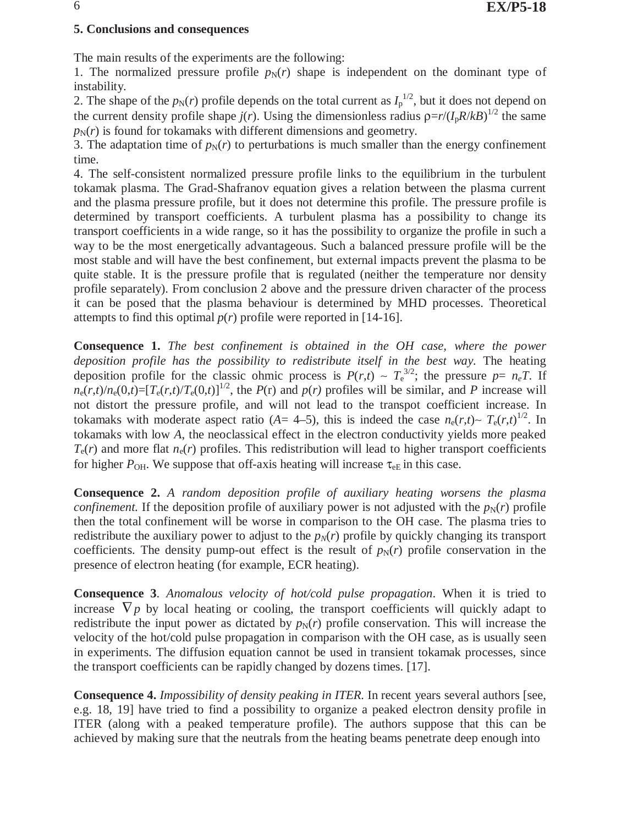## **5. Conclusions and consequences**

The main results of the experiments are the following:

1. The normalized pressure profile  $p_N(r)$  shape is independent on the dominant type of instability.

2. The shape of the  $p_N(r)$  profile depends on the total current as  $I_p^{1/2}$ , but it does not depend on the current density profile shape  $j(r)$ . Using the dimensionless radius  $\rho = r/(I_p R / kB)^{1/2}$  the same  $p_N(r)$  is found for tokamaks with different dimensions and geometry.

3. The adaptation time of  $p_N(r)$  to perturbations is much smaller than the energy confinement time.

4. The self-consistent normalized pressure profile links to the equilibrium in the turbulent tokamak plasma. The Grad-Shafranov equation gives a relation between the plasma current and the plasma pressure profile, but it does not determine this profile. The pressure profile is determined by transport coefficients. A turbulent plasma has a possibility to change its transport coefficients in a wide range, so it has the possibility to organize the profile in such a way to be the most energetically advantageous. Such a balanced pressure profile will be the most stable and will have the best confinement, but external impacts prevent the plasma to be quite stable. It is the pressure profile that is regulated (neither the temperature nor density profile separately). From conclusion 2 above and the pressure driven character of the process it can be posed that the plasma behaviour is determined by MHD processes. Theoretical attempts to find this optimal  $p(r)$  profile were reported in [14-16].

**Consequence 1.** *The best confinement is obtained in the OH case, where the power deposition profile has the possibility to redistribute itself in the best way.* The heating deposition profile for the classic ohmic process is  $P(r,t) \sim T_e^{3/2}$ ; the pressure  $p = n_e T$ . If  $n_e(r,t)/n_e(0,t)=[T_e(r,t)/T_e(0,t)]^{1/2}$ , the *P*(*r*) and *p*(*r*) profiles will be similar, and *P* increase will not distort the pressure profile, and will not lead to the transpot coefficient increase. In tokamaks with moderate aspect ratio (*A*= 4–5), this is indeed the case  $n_e(r,t) \sim T_e(r,t)^{1/2}$ . In tokamaks with low *A*, the neoclassical effect in the electron conductivity yields more peaked  $T_e(r)$  and more flat  $n_e(r)$  profiles. This redistribution will lead to higher transport coefficients for higher  $P_{\text{OH}}$ . We suppose that off-axis heating will increase  $\tau_{\text{eE}}$  in this case.

**Consequence 2.** *A random deposition profile of auxiliary heating worsens the plasma confinement.* If the deposition profile of auxiliary power is not adjusted with the  $p_N(r)$  profile then the total confinement will be worse in comparison to the OH case. The plasma tries to redistribute the auxiliary power to adjust to the  $p<sub>N</sub>(r)$  profile by quickly changing its transport coefficients. The density pump-out effect is the result of  $p_N(r)$  profile conservation in the presence of electron heating (for example, ECR heating).

**Consequence 3**. *Anomalous velocity of hot/cold pulse propagation*. When it is tried to increase  $\nabla p$  by local heating or cooling, the transport coefficients will quickly adapt to redistribute the input power as dictated by  $p_N(r)$  profile conservation. This will increase the velocity of the hot/cold pulse propagation in comparison with the OH case, as is usually seen in experiments. The diffusion equation cannot be used in transient tokamak processes, since the transport coefficients can be rapidly changed by dozens times. [17].

**Consequence 4.** *Impossibility of density peaking in ITER.* In recent years several authors [see, e.g. 18, 19] have tried to find a possibility to organize a peaked electron density profile in ITER (along with a peaked temperature profile). The authors suppose that this can be achieved by making sure that the neutrals from the heating beams penetrate deep enough into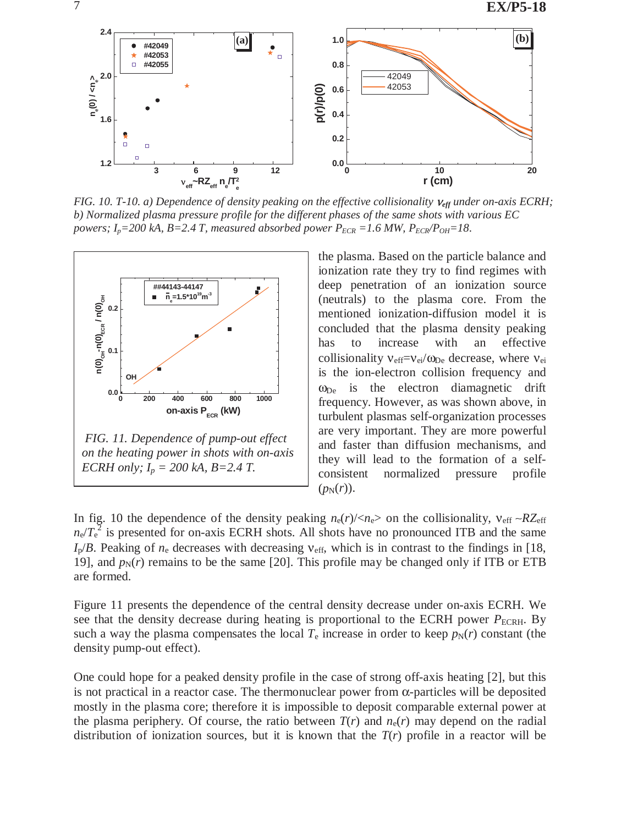

*FIG. 10. T-10. a) Dependence of density peaking on the effective collisionality*  $v_{\text{eff}}$  *under on-axis ECRH; b) Normalized plasma pressure profile for the different phases of the same shots with various EC powers; I<sub>p</sub>=200 kA, B=2.4 T, measured absorbed power*  $P_{ECR}$  *=1.6 MW,*  $P_{ECR}/P_{OH}$ *=18.* 



the plasma. Based on the particle balance and ionization rate they try to find regimes with deep penetration of an ionization source (neutrals) to the plasma core. From the mentioned ionization-diffusion model it is concluded that the plasma density peaking has to increase with an effective collisionality  $v_{\text{eff}}=v_{\text{ei}}/\omega_{\text{De}}$  decrease, where  $v_{\text{ei}}$ is the ion-electron collision frequency and  $\omega_{\text{De}}$  is the electron diamagnetic drift frequency. However, as was shown above, in turbulent plasmas self-organization processes are very important. They are more powerful and faster than diffusion mechanisms, and they will lead to the formation of a selfconsistent normalized pressure profile  $(p<sub>N</sub>(r)).$ 

In fig. 10 the dependence of the density peaking  $n_e(r)/\langle n_e \rangle$  on the collisionality,  $v_{eff} \sim RZ_{eff}$  $n_e/T_e^2$  is presented for on-axis ECRH shots. All shots have no pronounced ITB and the same  $I_p/B$ . Peaking of  $n_e$  decreases with decreasing  $v_{eff}$ , which is in contrast to the findings in [18, 19], and  $p_N(r)$  remains to be the same [20]. This profile may be changed only if ITB or ETB are formed.

Figure 11 presents the dependence of the central density decrease under on-axis ECRH. We see that the density decrease during heating is proportional to the ECRH power  $P_{\text{ECRH}}$ . By such a way the plasma compensates the local  $T_e$  increase in order to keep  $p_N(r)$  constant (the density pump-out effect).

One could hope for a peaked density profile in the case of strong off-axis heating [2], but this is not practical in a reactor case. The thermonuclear power from  $\alpha$ -particles will be deposited mostly in the plasma core; therefore it is impossible to deposit comparable external power at the plasma periphery. Of course, the ratio between  $T(r)$  and  $n_e(r)$  may depend on the radial distribution of ionization sources, but it is known that the  $T(r)$  profile in a reactor will be